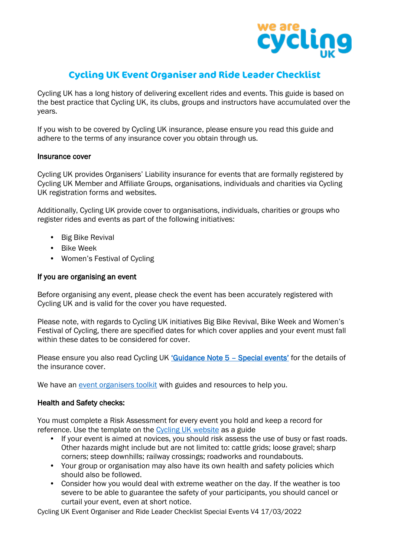

# **Cycling UK Event Organiser and Ride Leader Checklist**

Cycling UK has a long history of delivering excellent rides and events. This guide is based on the best practice that Cycling UK, its clubs, groups and instructors have accumulated over the years.

If you wish to be covered by Cycling UK insurance, please ensure you read this guide and adhere to the terms of any insurance cover you obtain through us.

### Insurance cover

Cycling UK provides Organisers' Liability insurance for events that are formally registered by Cycling UK Member and Affiliate Groups, organisations, individuals and charities via Cycling UK registration forms and websites.

Additionally, Cycling UK provide cover to organisations, individuals, charities or groups who register rides and events as part of the following initiatives:

- Big Bike Revival
- Bike Week
- Women's Festival of Cycling

## If you are organising an event

Before organising any event, please check the event has been accurately registered with Cycling UK and is valid for the cover you have requested.

Please note, with regards to Cycling UK initiatives Big Bike Revival, Bike Week and Women's Festival of Cycling, there are specified dates for which cover applies and your event must fall within these dates to be considered for cover.

Please ensure you also read Cycling UK 'Guidance Note 5 - Special events' for the details of the insurance cover.

We have an [event organisers toolkit](https://www.cyclinguk.org/Support%20for%20cycling%20groups%20and%20clubs/event-organisers-toolkit) with guides and resources to help you.

### Health and Safety checks:

You must complete a Risk Assessment for every event you hold and keep a record for reference. Use the template on the [Cycling UK website](https://www.cyclinguk.org/Support%20for%20cycling%20groups%20and%20clubs/event-organisers-toolkit) as a guide

- If your event is aimed at novices, you should risk assess the use of busy or fast roads. Other hazards might include but are not limited to: cattle grids; loose gravel; sharp corners; steep downhills; railway crossings; roadworks and roundabouts.
- Your group or organisation may also have its own health and safety policies which should also be followed.
- Consider how you would deal with extreme weather on the day. If the weather is too severe to be able to guarantee the safety of your participants, you should cancel or curtail your event, even at short notice.

Cycling UK Event Organiser and Ride Leader Checklist Special Events V4 17/03/2022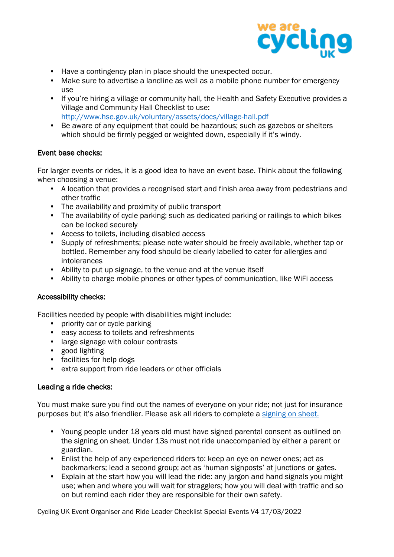

- Have a contingency plan in place should the unexpected occur.
- Make sure to advertise a landline as well as a mobile phone number for emergency use
- If you're hiring a village or community hall, the Health and Safety Executive provides a Village and Community Hall Checklist to use: <http://www.hse.gov.uk/voluntary/assets/docs/village-hall.pdf>
- Be aware of any equipment that could be hazardous; such as gazebos or shelters which should be firmly pegged or weighted down, especially if it's windy.

# Event base checks:

For larger events or rides, it is a good idea to have an event base. Think about the following when choosing a venue:

- A location that provides a recognised start and finish area away from pedestrians and other traffic
- The availability and proximity of public transport
- The availability of cycle parking; such as dedicated parking or railings to which bikes can be locked securely
- Access to toilets, including disabled access
- Supply of refreshments; please note water should be freely available, whether tap or bottled. Remember any food should be clearly labelled to cater for allergies and intolerances
- Ability to put up signage, to the venue and at the venue itself
- Ability to charge mobile phones or other types of communication, like WiFi access

# Accessibility checks:

Facilities needed by people with disabilities might include:

- priority car or cycle parking
- easy access to toilets and refreshments
- large signage with colour contrasts
- good lighting
- facilities for help dogs
- extra support from ride leaders or other officials

# Leading a ride checks:

You must make sure you find out the names of everyone on your ride; not just for insurance purposes but it's also friendlier. Please ask all riders to complete a [signing on](https://www.cyclinguk.org/sites/default/files/document/2019/10/signing_in_and_out_sheet_v2_bw.pdf) sheet.

- Young people under 18 years old must have signed parental consent as outlined on the signing on sheet. Under 13s must not ride unaccompanied by either a parent or guardian.
- Enlist the help of any experienced riders to: keep an eye on newer ones; act as backmarkers; lead a second group; act as 'human signposts' at junctions or gates.
- Explain at the start how you will lead the ride: any jargon and hand signals you might use; when and where you will wait for stragglers; how you will deal with traffic and so on but remind each rider they are responsible for their own safety.

Cycling UK Event Organiser and Ride Leader Checklist Special Events V4 17/03/2022